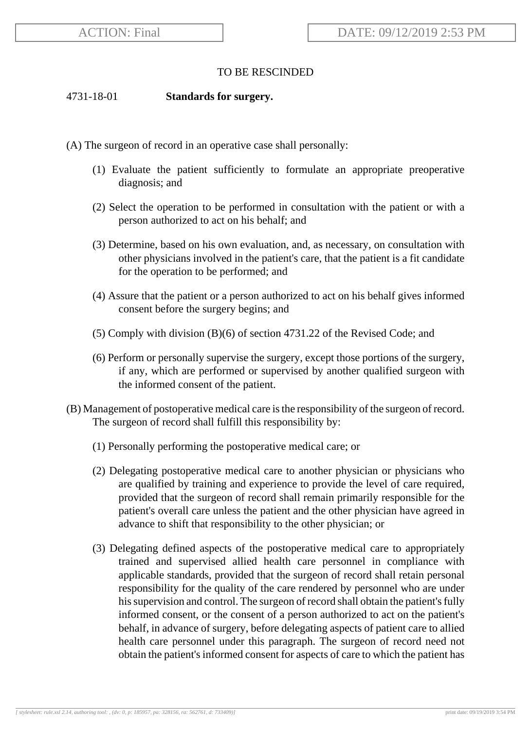## TO BE RESCINDED

#### 4731-18-01 **Standards for surgery.**

- (A) The surgeon of record in an operative case shall personally:
	- (1) Evaluate the patient sufficiently to formulate an appropriate preoperative diagnosis; and
	- (2) Select the operation to be performed in consultation with the patient or with a person authorized to act on his behalf; and
	- (3) Determine, based on his own evaluation, and, as necessary, on consultation with other physicians involved in the patient's care, that the patient is a fit candidate for the operation to be performed; and
	- (4) Assure that the patient or a person authorized to act on his behalf gives informed consent before the surgery begins; and
	- (5) Comply with division (B)(6) of section 4731.22 of the Revised Code; and
	- (6) Perform or personally supervise the surgery, except those portions of the surgery, if any, which are performed or supervised by another qualified surgeon with the informed consent of the patient.
- (B) Management of postoperative medical care is the responsibility of the surgeon of record. The surgeon of record shall fulfill this responsibility by:
	- (1) Personally performing the postoperative medical care; or
	- (2) Delegating postoperative medical care to another physician or physicians who are qualified by training and experience to provide the level of care required, provided that the surgeon of record shall remain primarily responsible for the patient's overall care unless the patient and the other physician have agreed in advance to shift that responsibility to the other physician; or
	- (3) Delegating defined aspects of the postoperative medical care to appropriately trained and supervised allied health care personnel in compliance with applicable standards, provided that the surgeon of record shall retain personal responsibility for the quality of the care rendered by personnel who are under his supervision and control. The surgeon of record shall obtain the patient's fully informed consent, or the consent of a person authorized to act on the patient's behalf, in advance of surgery, before delegating aspects of patient care to allied health care personnel under this paragraph. The surgeon of record need not obtain the patient's informed consent for aspects of care to which the patient has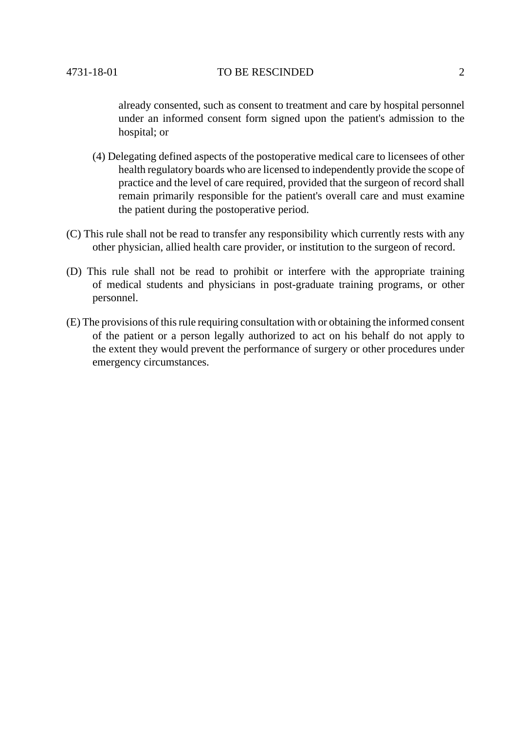already consented, such as consent to treatment and care by hospital personnel under an informed consent form signed upon the patient's admission to the hospital; or

- (4) Delegating defined aspects of the postoperative medical care to licensees of other health regulatory boards who are licensed to independently provide the scope of practice and the level of care required, provided that the surgeon of record shall remain primarily responsible for the patient's overall care and must examine the patient during the postoperative period.
- (C) This rule shall not be read to transfer any responsibility which currently rests with any other physician, allied health care provider, or institution to the surgeon of record.
- (D) This rule shall not be read to prohibit or interfere with the appropriate training of medical students and physicians in post-graduate training programs, or other personnel.
- (E) The provisions of this rule requiring consultation with or obtaining the informed consent of the patient or a person legally authorized to act on his behalf do not apply to the extent they would prevent the performance of surgery or other procedures under emergency circumstances.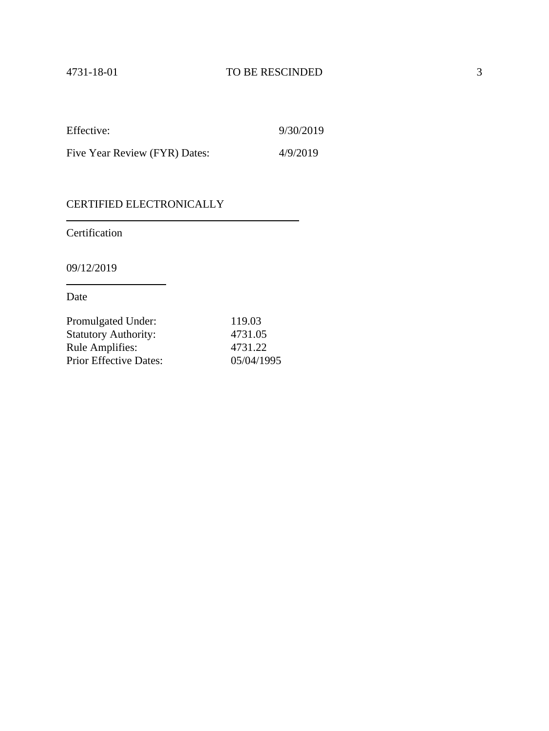| Effective:                    | 9/30/2019 |
|-------------------------------|-----------|
| Five Year Review (FYR) Dates: | 4/9/2019  |

# CERTIFIED ELECTRONICALLY

Certification

09/12/2019

Date

| Promulgated Under:            | 119.03     |
|-------------------------------|------------|
| <b>Statutory Authority:</b>   | 4731.05    |
| <b>Rule Amplifies:</b>        | 4731.22    |
| <b>Prior Effective Dates:</b> | 05/04/1995 |

 $\overline{\phantom{0}}$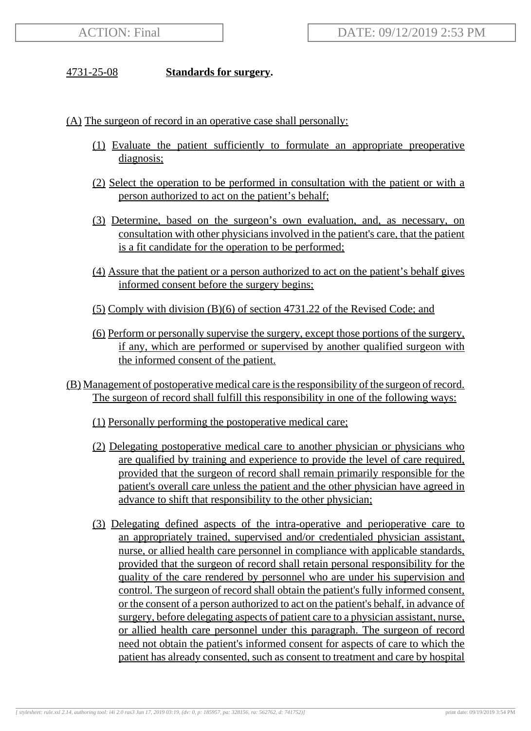## 4731-25-08 **Standards for surgery.**

(A) The surgeon of record in an operative case shall personally:

- (1) Evaluate the patient sufficiently to formulate an appropriate preoperative diagnosis;
- (2) Select the operation to be performed in consultation with the patient or with a person authorized to act on the patient's behalf;
- (3) Determine, based on the surgeon's own evaluation, and, as necessary, on consultation with other physicians involved in the patient's care, that the patient is a fit candidate for the operation to be performed;
- (4) Assure that the patient or a person authorized to act on the patient's behalf gives informed consent before the surgery begins;
- (5) Comply with division (B)(6) of section 4731.22 of the Revised Code; and
- (6) Perform or personally supervise the surgery, except those portions of the surgery, if any, which are performed or supervised by another qualified surgeon with the informed consent of the patient.
- (B) Management of postoperative medical care is the responsibility of the surgeon of record. The surgeon of record shall fulfill this responsibility in one of the following ways:
	- (1) Personally performing the postoperative medical care;
	- (2) Delegating postoperative medical care to another physician or physicians who are qualified by training and experience to provide the level of care required, provided that the surgeon of record shall remain primarily responsible for the patient's overall care unless the patient and the other physician have agreed in advance to shift that responsibility to the other physician;
	- (3) Delegating defined aspects of the intra-operative and perioperative care to an appropriately trained, supervised and/or credentialed physician assistant, nurse, or allied health care personnel in compliance with applicable standards, provided that the surgeon of record shall retain personal responsibility for the quality of the care rendered by personnel who are under his supervision and control. The surgeon of record shall obtain the patient's fully informed consent, or the consent of a person authorized to act on the patient's behalf, in advance of surgery, before delegating aspects of patient care to a physician assistant, nurse, or allied health care personnel under this paragraph. The surgeon of record need not obtain the patient's informed consent for aspects of care to which the patient has already consented, such as consent to treatment and care by hospital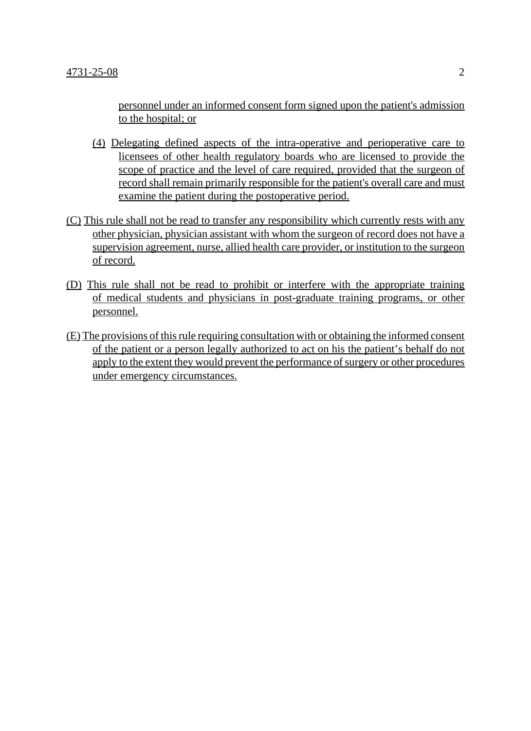personnel under an informed consent form signed upon the patient's admission to the hospital; or

- (4) Delegating defined aspects of the intra-operative and perioperative care to licensees of other health regulatory boards who are licensed to provide the scope of practice and the level of care required, provided that the surgeon of record shall remain primarily responsible for the patient's overall care and must examine the patient during the postoperative period.
- (C) This rule shall not be read to transfer any responsibility which currently rests with any other physician, physician assistant with whom the surgeon of record does not have a supervision agreement, nurse, allied health care provider, or institution to the surgeon of record.
- (D) This rule shall not be read to prohibit or interfere with the appropriate training of medical students and physicians in post-graduate training programs, or other personnel.
- (E) The provisions of this rule requiring consultation with or obtaining the informed consent of the patient or a person legally authorized to act on his the patient's behalf do not apply to the extent they would prevent the performance of surgery or other procedures under emergency circumstances.